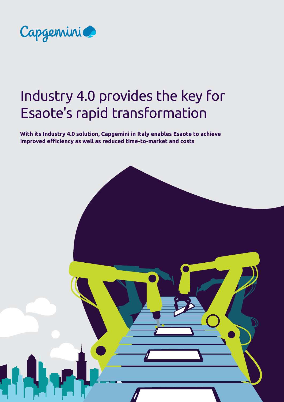

# Industry 4.0 provides the key for Esaote's rapid transformation

**With its Industry 4.0 solution, Capgemini in Italy enables Esaote to achieve improved efficiency as well as reduced time-to-market and costs**

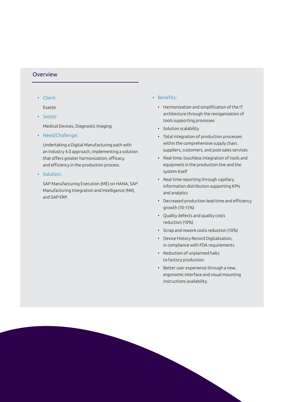#### **Overview**

• Client:

Esaote

- Sector: Medical Devices, Diagnostic Imaging
- Need/Challenge:

Undertaking a Digital Manufacturing path with an Industry 4.0 approach, implementing a solution that offers greater harmonization, efficacy, and efficiency in the production process.

• Solution:

SAP Manufacturing Execution (ME) on HANA, SAP Manufacturing Integration and Intelligence (MII), and SAP ERP.

- Benefits:
	- Harmonization and simplification of the IT architecture through the reorganization of tools supporting processes
	- Solution scalability
	- Total integration of production processes within the comprehensive supply chain: suppliers, customers, and post-sales services
	- Real-time, touchless integration of tools and equipment in the production line and the system itself
	- Real-time reporting through capillary information distribution supporting KPIs and analytics
	- Decreased production lead time and efficiency growth (10-15%)
	- Quality defects and quality costs reduction (10%)
	- Scrap and rework costs reduction (10%)
	- Device History Record Digitalization, in compliance with FDA requirements
	- Reduction of unplanned halts to factory production
	- Better user experience through a new, ergonomic interface and visual mounting instructions availability.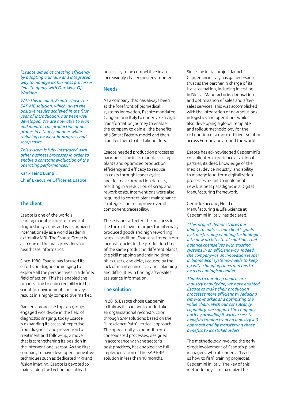*"Esaote aimed at creating efficiency by adopting a unique and integrated way to manage its business processes: One Company with One Way-Of-Working.* 

*With this in mind, Esaote chose the SAP ME solution, which, given the positive results achieved in the first year of introduction, has been well developed. We are now able to plan and monitor the production of our probes in a timely manner while reducing the work-in-progress and scrap costs.* 

*This system is fully integrated with other business processes in order to enable a constant evaluation of the operating performances."*

Karl-Heinz Lumpi, Chief Executive Officer at Esaote

#### The client

Esaote is one of the world's leading manufacturers of medical diagnostic systems and is recognized internationally as a world leader in extremity MRI. The Esaote Group is also one of the main providers for healthcare informatics.

Since 1980, Esaote has focused its efforts on diagnostic imaging to explore all the perspectives in a defined field of action. This has enabled the organization to gain credibility in the scientific environment and convey results in a highly competitive market.

Ranked among the top ten groups engaged worldwide in the field of diagnostic imaging, today Esaote is expanding its areas of expertise from diagnosis and prevention to treatment and follow-up, a move that is strengthening its position in the interventional sector. As the first company to have developed innovative techniques such as dedicated MRI and fusion imaging, Esaote is devoted to maintaining the technological lead

necessary to be competitive in an increasingly challenging environment.

#### Needs

As a company that has always been at the forefront of biomedical systems innovation, Esaote mandated Capgemini in Italy to undertake a digital transformation journey to enable the company to gain all the benefits of a Smart Factory model and then transfer them to its stakeholders.

Esaote needed production processes harmonization in its manufacturing plants and optimized production efficiency and efficacy to reduce its costs through leaner cycles and decrease production defects, resulting in a reduction of scrap and rework costs. Interventions were also required to correct plant maintenance strategies and to improve overall component traceability.

These issues affected the business in the form of lower margins for internally produced goods and high reworking rates. In addition, Esaote suffered from inconsistencies in the production time of the same product in different plants, the skill mapping and training time of its users, and delays caused by the lack of maintenance activities planning and difficulties in finding after-sales assistance information.

#### The solution

In 2015, Esaote chose Capgemini in Italy as its partner to undertake an organizational reconstruction through SAP solutions based on the "Lifescience Path" vertical approach. The opportunity to benefit from consolidated processes, designed in accordance with the sector's best practices, has enabled the full implementation of the SAP ERP solution in less than 10 months.

Since the initial project launch, Capgemini in Italy has gained Esaote's trust as the partner in charge of its transformation, including investing in Digital Manufacturing innovation and optimization of sales and aftersales services. This was accomplished with the integration of new solutions in logistics and operations while also developing a global template and rollout methodology for the distribution of a more efficient solution across Europe and around the world.

Esaote has acknowledged Capgemini's consolidated experience as a global partner, its deep knowledge of the medical device industry, and ability to manage long-term digitalization processes meant to implement new business paradigms in a Digital Manufacturing framework.

Gerardo Ciccone, Head of Manufacturing & Life Science at Capgemini in Italy, has declared,

*"This project demonstrates our ability to address our client's goals by transforming enabling technologies into new architectural solutions that balance themselves with existing systems in an efficient way. Indeed, the company–as an innovation leader in biomedical systems–needs to keep up with changing times and has to be a technological leader.*

*Thanks to our deep healthcare industry knowledge, we have enabled Esaote to make their production processes more efficient by reducing time-to-market and optimizing the value chain. With our consultancy capability, we support the company both by providing it with access to benefits coming from an Industry 4.0 approach and by transferring those benefits to its stakeholders."*

The methodology involved the early direct involvement of Esaote's plant managers, who attended a "teach us how to fish" training project at Capgemini in Italy. The key of this methodology is to maximize the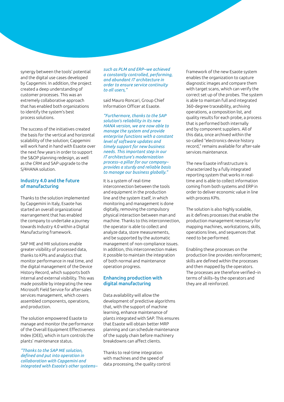synergy between the tools' potential and the digital use cases developed by Capgemini. In addition, the project created a deep understanding of customer processes. This was an extremely collaborative approach that has enabled both organizations to identify the system's best process solutions.

The success of the initiatives created the basis for the vertical and horizontal scalability of the solution; Capgemini will work hand in hand with Esaote over the next few years in order to support the S&OP planning redesign, as well as the CRM and SAP upgrade to the S/4HANA solution.

#### Industry 4.0 and the future of manufacturing

Thanks to the solution implemented by Capgemini in Italy, Esaote has started an overall organizational rearrangement that has enabled the company to undertake a journey towards Industry 4.0 within a Digital Manufacturing framework.

SAP ME and MII solutions enable greater visibility of processed data, thanks to KPIs and analytics that monitor performance in real time, and the digital management of the Device History Record, which supports both internal and external visibility. This was made possible by integrating the new Microsoft Field Service for after-sales services management, which covers assembled components, operations, and production.

The solution empowered Esaote to manage and monitor the performance of the Overall Equipment Effectiveness Index (OEE), which in turn controls the plants' maintenance status.

*"Thanks to the SAP ME solution, defined and put into operation in collaboration with Capgemini and integrated with Esaote's other systems–* *such as PLM and ERP–we achieved a constantly controlled, performing, and abundant IT architecture in order to ensure service continuity to all users,"* 

#### said Mauro Roncari, Group Chief Information Officer at Esaote.

*"Furthermore, thanks to the SAP solution's reliability in its new HANA version, we are now able to manage the system and provide enterprise functions with a constant level of software updates and timely support for new business needs. This important step in our IT architecture's modernization process–a pillar for our company– provides a sturdy and reliable basis to manage our business globally."* 

It is a system of real-time interconnection between the tools and equipment in the production line and the system itself, in which monitoring and management is done digitally, removing the compulsory physical interaction between man and machine. Thanks to this interconnection, the operator is able to collect and analyze data, store measurements, and be supported by the automatic management of non-compliance issues. In addition, this interconnection makes it possible to maintain the integration of both normal and maintenance operation progress.

#### Enhancing production with digital manufacturing

Data availability will allow the development of predictive algorithms that, with the support of machine learning, enhance maintenance of plants integrated with SAP. This ensures that Esaote will obtain better MRP planning and can schedule maintenance of the supply chain before machinery breakdowns can affect clients.

Thanks to real-time integration with machines and the speed of data processing, the quality control framework of the new Esaote system enables the organization to capture diagnostic images and compare them with target scans, which can verify the correct set up of the probes. The system is able to maintain full and integrated 360-degree traceability, archiving operations, a composition list, and quality results for each probe, a process that is performed both internally and by component suppliers. All of this data, once archived within the so-called "electronics device history record," remains available for after-sale services maintenance.

The new Esaote infrastructure is characterized by a fully integrated reporting system that works in realtime and is able to collect information coming from both systems and ERP in order to deliver economic value in line with process KPIs.

The solution is also highly scalable, as it defines processes that enable the production management necessary for mapping machines, workstations, skills, operations lines, and sequences that need to be performed.

Enabling these processes on the production line provides reinforcement; skills are defined within the processes and then mapped by the operators. The processes are therefore verified–in terms of skills–by the operators and they are all reinforced.